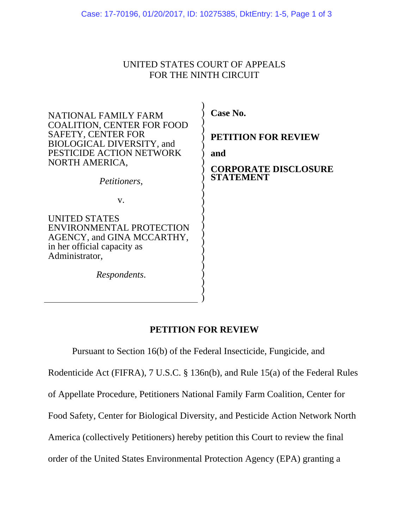## UNITED STATES COURT OF APPEALS FOR THE NINTH CIRCUIT

) ) ) ) ) ) ) ) ) ) ) ) ) ) ) ) ) ) ) ) ) ) ) ) )

NATIONAL FAMILY FARM COALITION, CENTER FOR FOOD SAFETY, CENTER FOR BIOLOGICAL DIVERSITY, and PESTICIDE ACTION NETWORK NORTH AMERICA,

*Petitioners*,

v.

UNITED STATES ENVIRONMENTAL PROTECTION AGENCY, and GINA MCCARTHY, in her official capacity as Administrator,

*Respondents*.

**Case No.** 

**PETITION FOR REVIEW** 

**and** 

**CORPORATE DISCLOSURE STATEMENT** 

## **PETITION FOR REVIEW**

Pursuant to Section 16(b) of the Federal Insecticide, Fungicide, and

Rodenticide Act (FIFRA), 7 U.S.C. § 136n(b), and Rule 15(a) of the Federal Rules

of Appellate Procedure, Petitioners National Family Farm Coalition, Center for

Food Safety, Center for Biological Diversity, and Pesticide Action Network North

America (collectively Petitioners) hereby petition this Court to review the final

order of the United States Environmental Protection Agency (EPA) granting a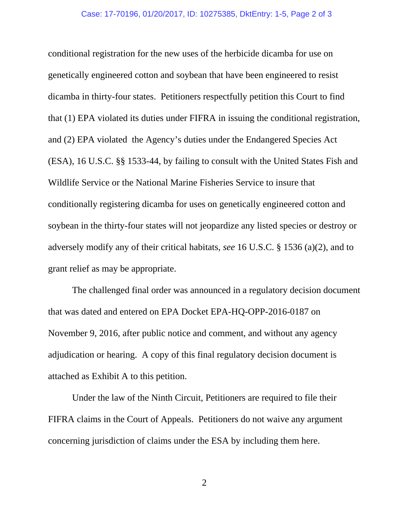conditional registration for the new uses of the herbicide dicamba for use on genetically engineered cotton and soybean that have been engineered to resist dicamba in thirty-four states. Petitioners respectfully petition this Court to find that (1) EPA violated its duties under FIFRA in issuing the conditional registration, and (2) EPA violated the Agency's duties under the Endangered Species Act (ESA), 16 U.S.C. §§ 1533-44, by failing to consult with the United States Fish and Wildlife Service or the National Marine Fisheries Service to insure that conditionally registering dicamba for uses on genetically engineered cotton and soybean in the thirty-four states will not jeopardize any listed species or destroy or adversely modify any of their critical habitats, *see* 16 U.S.C. § 1536 (a)(2), and to grant relief as may be appropriate.

The challenged final order was announced in a regulatory decision document that was dated and entered on EPA Docket EPA-HQ-OPP-2016-0187 on November 9, 2016, after public notice and comment, and without any agency adjudication or hearing. A copy of this final regulatory decision document is attached as Exhibit A to this petition.

Under the law of the Ninth Circuit, Petitioners are required to file their FIFRA claims in the Court of Appeals. Petitioners do not waive any argument concerning jurisdiction of claims under the ESA by including them here.

2